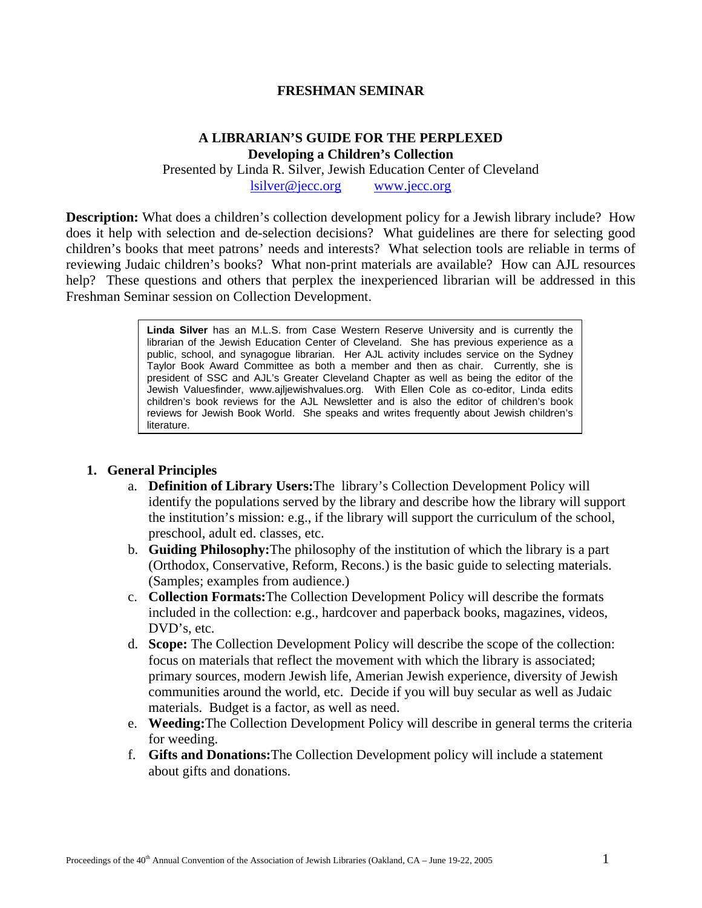#### **FRESHMAN SEMINAR**

#### **A LIBRARIAN'S GUIDE FOR THE PERPLEXED Developing a Children's Collection**

Presented by Linda R. Silver, Jewish Education Center of Cleveland [lsilver@jecc.org](mailto:lsilver@jecc.org) [www.jecc.org](http://www.jecc.org/)

**Description:** What does a children's collection development policy for a Jewish library include? How does it help with selection and de-selection decisions? What guidelines are there for selecting good children's books that meet patrons' needs and interests? What selection tools are reliable in terms of reviewing Judaic children's books? What non-print materials are available? How can AJL resources help? These questions and others that perplex the inexperienced librarian will be addressed in this Freshman Seminar session on Collection Development.

> **Linda Silver** has an M.L.S. from Case Western Reserve University and is currently the librarian of the Jewish Education Center of Cleveland. She has previous experience as a public, school, and synagogue librarian. Her AJL activity includes service on the Sydney Taylor Book Award Committee as both a member and then as chair. Currently, she is president of SSC and AJL's Greater Cleveland Chapter as well as being the editor of the Jewish Valuesfinder, www.ajljewishvalues.org. With Ellen Cole as co-editor, Linda edits children's book reviews for the AJL Newsletter and is also the editor of children's book reviews for Jewish Book World. She speaks and writes frequently about Jewish children's literature.

#### **1. General Principles**

- a. **Definition of Library Users:**The library's Collection Development Policy will identify the populations served by the library and describe how the library will support the institution's mission: e.g., if the library will support the curriculum of the school, preschool, adult ed. classes, etc.
- b. **Guiding Philosophy:**The philosophy of the institution of which the library is a part (Orthodox, Conservative, Reform, Recons.) is the basic guide to selecting materials. (Samples; examples from audience.)
- c. **Collection Formats:**The Collection Development Policy will describe the formats included in the collection: e.g., hardcover and paperback books, magazines, videos, DVD's, etc.
- d. **Scope:** The Collection Development Policy will describe the scope of the collection: focus on materials that reflect the movement with which the library is associated; primary sources, modern Jewish life, Amerian Jewish experience, diversity of Jewish communities around the world, etc. Decide if you will buy secular as well as Judaic materials. Budget is a factor, as well as need.
- e. **Weeding:**The Collection Development Policy will describe in general terms the criteria for weeding.
- f. **Gifts and Donations:**The Collection Development policy will include a statement about gifts and donations.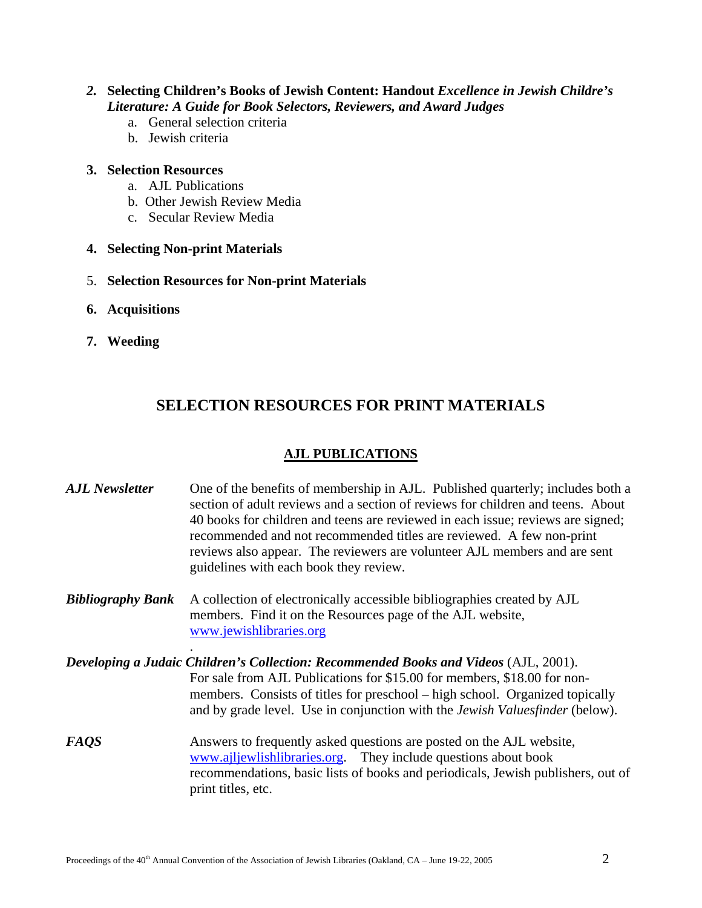#### *2.* **Selecting Children's Books of Jewish Content: Handout** *Excellence in Jewish Childre's Literature: A Guide for Book Selectors, Reviewers, and Award Judges*

- a. General selection criteria
- b. Jewish criteria

#### **3. Selection Resources**

- a. AJL Publications
- b. Other Jewish Review Media
- c. Secular Review Media

#### **4. Selecting Non-print Materials**

- 5. **Selection Resources for Non-print Materials**
- **6. Acquisitions**
- **7. Weeding**

# **SELECTION RESOURCES FOR PRINT MATERIALS**

#### **AJL PUBLICATIONS**

| <b>AJL</b> Newsletter    | One of the benefits of membership in AJL. Published quarterly; includes both a<br>section of adult reviews and a section of reviews for children and teens. About<br>40 books for children and teens are reviewed in each issue; reviews are signed;<br>recommended and not recommended titles are reviewed. A few non-print<br>reviews also appear. The reviewers are volunteer AJL members and are sent<br>guidelines with each book they review. |
|--------------------------|-----------------------------------------------------------------------------------------------------------------------------------------------------------------------------------------------------------------------------------------------------------------------------------------------------------------------------------------------------------------------------------------------------------------------------------------------------|
| <b>Bibliography Bank</b> | A collection of electronically accessible bibliographies created by AJL<br>members. Find it on the Resources page of the AJL website,<br>www.jewishlibraries.org                                                                                                                                                                                                                                                                                    |
|                          | Developing a Judaic Children's Collection: Recommended Books and Videos (AJL, 2001).<br>For sale from AJL Publications for \$15.00 for members, \$18.00 for non-<br>members. Consists of titles for preschool – high school. Organized topically<br>and by grade level. Use in conjunction with the <i>Jewish Valuesfinder</i> (below).                                                                                                             |
| <b>FAQS</b>              | Answers to frequently asked questions are posted on the AJL website,<br>www.ajljewlishlibraries.org. They include questions about book<br>recommendations, basic lists of books and periodicals, Jewish publishers, out of<br>print titles, etc.                                                                                                                                                                                                    |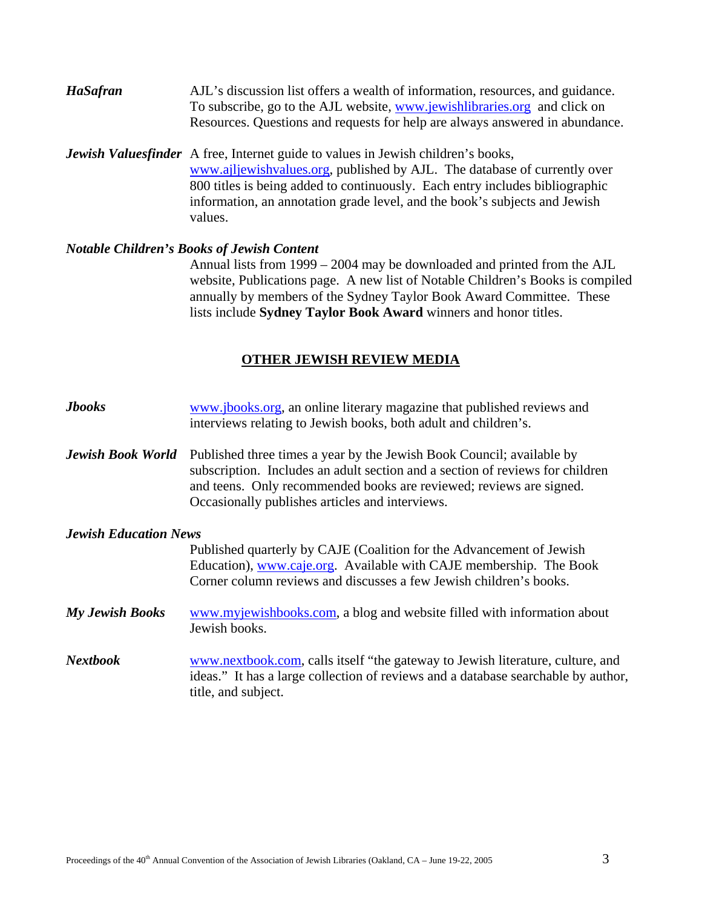- *HaSafran* AJL's discussion list offers a wealth of information, resources, and guidance. To subscribe, go to the AJL website, [www.jewishlibraries.org](http://www.jewishlibraries.org/) and click on Resources. Questions and requests for help are always answered in abundance.
- *Jewish Valuesfinder* A free, Internet guide to values in Jewish children's books, [www.ajljewishvalues.org,](http://www.ajljewishvalues.org/) published by AJL. The database of currently over 800 titles is being added to continuously. Each entry includes bibliographic information, an annotation grade level, and the book's subjects and Jewish values.

#### *Notable Children's Books of Jewish Content*

 Annual lists from 1999 – 2004 may be downloaded and printed from the AJL website, Publications page. A new list of Notable Children's Books is compiled annually by members of the Sydney Taylor Book Award Committee. These lists include **Sydney Taylor Book Award** winners and honor titles.

#### **OTHER JEWISH REVIEW MEDIA**

| <b>Jbooks</b>                | www.jbooks.org, an online literary magazine that published reviews and<br>interviews relating to Jewish books, both adult and children's.                                                                                                                                        |
|------------------------------|----------------------------------------------------------------------------------------------------------------------------------------------------------------------------------------------------------------------------------------------------------------------------------|
| <b>Jewish Book World</b>     | Published three times a year by the Jewish Book Council; available by<br>subscription. Includes an adult section and a section of reviews for children<br>and teens. Only recommended books are reviewed; reviews are signed.<br>Occasionally publishes articles and interviews. |
| <b>Jewish Education News</b> |                                                                                                                                                                                                                                                                                  |
|                              | Published quarterly by CAJE (Coalition for the Advancement of Jewish<br>Education), www.caje.org. Available with CAJE membership. The Book<br>Corner column reviews and discusses a few Jewish children's books.                                                                 |
| <b>My Jewish Books</b>       | www.myjewishbooks.com, a blog and website filled with information about<br>Jewish books.                                                                                                                                                                                         |
| <b>Nextbook</b>              | www.nextbook.com, calls itself "the gateway to Jewish literature, culture, and<br>ideas." It has a large collection of reviews and a database searchable by author,<br>title, and subject.                                                                                       |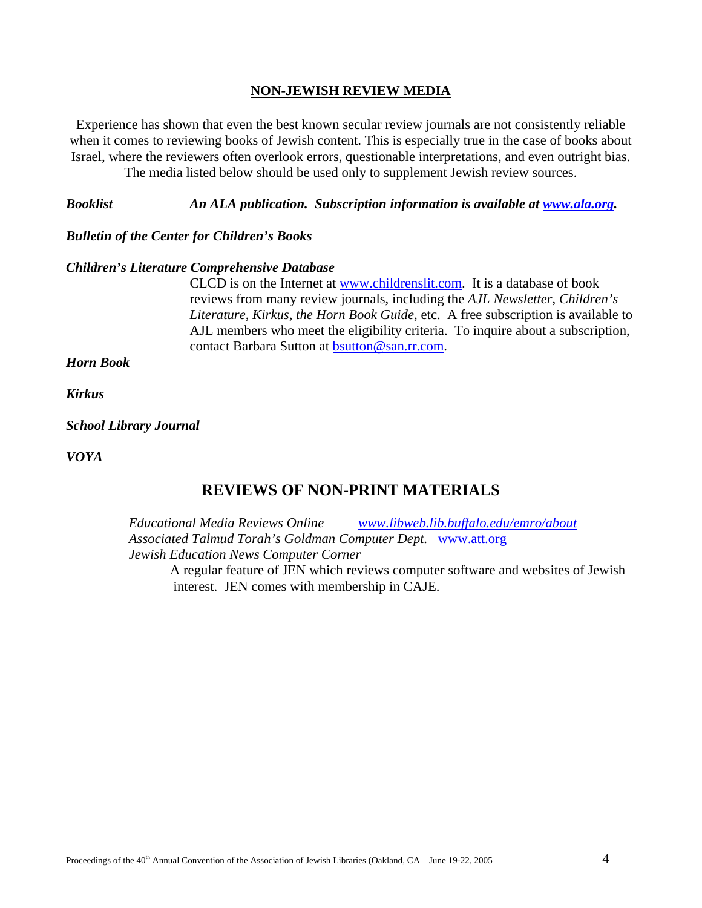#### **NON-JEWISH REVIEW MEDIA**

Experience has shown that even the best known secular review journals are not consistently reliable when it comes to reviewing books of Jewish content. This is especially true in the case of books about Israel, where the reviewers often overlook errors, questionable interpretations, and even outright bias. The media listed below should be used only to supplement Jewish review sources.

*Booklist An ALA publication. Subscription information is available at <u><i>[www.ala.org.](http://www.ala.org/)*</u>

#### *Bulletin of the Center for Children's Books*

#### *Children's Literature Comprehensive Database*

CLCD is on the Internet at [www.childrenslit.com.](http://www.childrenslit.com/) It is a database of book reviews from many review journals, including the *AJL Newsletter*, *Children's Literature*, *Kirkus*, *the Horn Book Guide*, etc. A free subscription is available to AJL members who meet the eligibility criteria. To inquire about a subscription, contact Barbara Sutton at [bsutton@san.rr.com](mailto:bsutton@san.rr.com).

*Horn Book* 

*Kirkus* 

#### *School Library Journal*

*VOYA* 

### **REVIEWS OF NON-PRINT MATERIALS**

*Educational Media Reviews Online [www.libweb.lib.buffalo.edu/emro/about](http://www.libweb.lib.buffalo.edu/emro/about) Associated Talmud Torah's Goldman Computer Dept.* [www.att.org](http://www.att.org/) *Jewish Education News Computer Corner*

A regular feature of JEN which reviews computer software and websites of Jewish interest. JEN comes with membership in CAJE.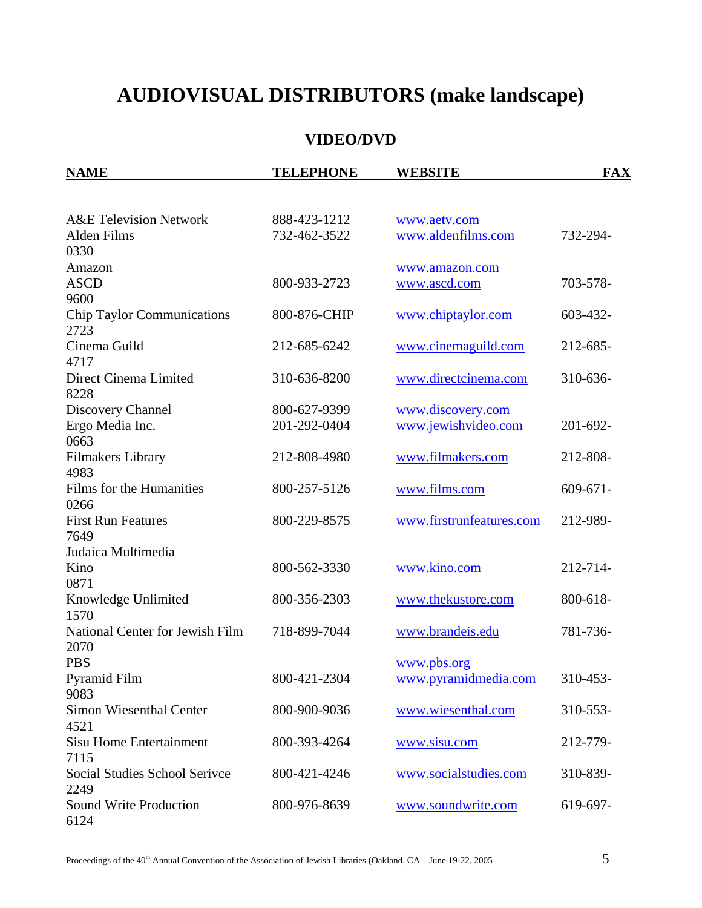# **AUDIOVISUAL DISTRIBUTORS (make landscape)**

## **VIDEO/DVD**

| <b>NAME</b>                                              | <b>TELEPHONE</b>             | <b>WEBSITE</b>                      | <b>FAX</b>    |
|----------------------------------------------------------|------------------------------|-------------------------------------|---------------|
|                                                          |                              |                                     |               |
| <b>A&amp;E Television Network</b><br>Alden Films<br>0330 | 888-423-1212<br>732-462-3522 | www.aetv.com<br>www.aldenfilms.com  | 732-294-      |
| Amazon                                                   |                              |                                     |               |
| <b>ASCD</b><br>9600                                      | 800-933-2723                 | www.amazon.com<br>www.ascd.com      | 703-578-      |
| <b>Chip Taylor Communications</b><br>2723                | 800-876-CHIP                 | www.chiptaylor.com                  | 603-432-      |
| Cinema Guild<br>4717                                     | 212-685-6242                 | www.cinemaguild.com                 | 212-685-      |
| Direct Cinema Limited<br>8228                            | 310-636-8200                 | www.directcinema.com                | 310-636-      |
| Discovery Channel                                        | 800-627-9399                 | www.discovery.com                   |               |
| Ergo Media Inc.<br>0663                                  | 201-292-0404                 | www.jewishvideo.com                 | 201-692-      |
| <b>Filmakers Library</b><br>4983                         | 212-808-4980                 | www.filmakers.com                   | 212-808-      |
| Films for the Humanities<br>0266                         | 800-257-5126                 | www.films.com                       | $609 - 671 -$ |
| <b>First Run Features</b><br>7649                        | 800-229-8575                 | www.firstrunfeatures.com            | 212-989-      |
| Judaica Multimedia                                       |                              |                                     |               |
| Kino<br>0871                                             | 800-562-3330                 | www.kino.com                        | 212-714-      |
| Knowledge Unlimited<br>1570                              | 800-356-2303                 | www.thekustore.com                  | 800-618-      |
| National Center for Jewish Film<br>2070                  | 718-899-7044                 | www.brandeis.edu                    | 781-736-      |
| <b>PBS</b><br>Pyramid Film                               | 800-421-2304                 | www.pbs.org<br>www.pyramidmedia.com | 310-453-      |
| 9083<br>Simon Wiesenthal Center<br>4521                  | 800-900-9036                 | www.wiesenthal.com                  | 310-553-      |
| Sisu Home Entertainment<br>7115                          | 800-393-4264                 | www.sisu.com                        | 212-779-      |
| Social Studies School Serivce<br>2249                    | 800-421-4246                 | www.socialstudies.com               | 310-839-      |
| Sound Write Production<br>6124                           | 800-976-8639                 | www.soundwrite.com                  | 619-697-      |